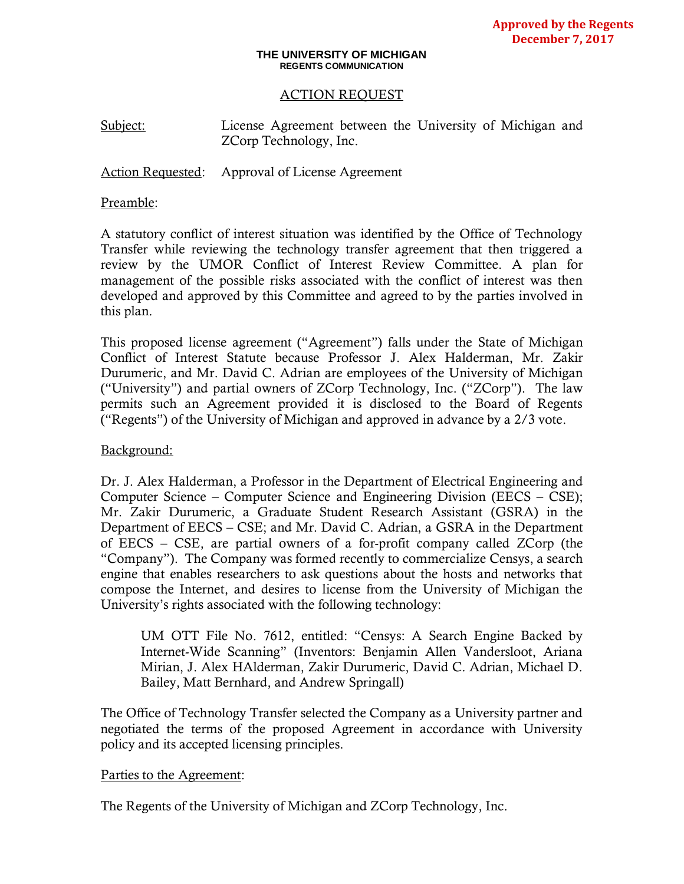#### **THE UNIVERSITY OF MICHIGAN REGENTS COMMUNICATION**

### ACTION REQUEST

Subject: License Agreement between the University of Michigan and ZCorp Technology, Inc.

Action Requested: Approval of License Agreement

#### Preamble:

A statutory conflict of interest situation was identified by the Office of Technology Transfer while reviewing the technology transfer agreement that then triggered a review by the UMOR Conflict of Interest Review Committee. A plan for management of the possible risks associated with the conflict of interest was then developed and approved by this Committee and agreed to by the parties involved in this plan.

This proposed license agreement ("Agreement") falls under the State of Michigan Conflict of Interest Statute because Professor J. Alex Halderman, Mr. Zakir Durumeric, and Mr. David C. Adrian are employees of the University of Michigan ("University") and partial owners of ZCorp Technology, Inc. ("ZCorp"). The law permits such an Agreement provided it is disclosed to the Board of Regents ("Regents") of the University of Michigan and approved in advance by a 2/3 vote.

### Background:

Dr. J. Alex Halderman, a Professor in the Department of Electrical Engineering and Computer Science – Computer Science and Engineering Division (EECS – CSE); Mr. Zakir Durumeric, a Graduate Student Research Assistant (GSRA) in the Department of EECS – CSE; and Mr. David C. Adrian, a GSRA in the Department of EECS – CSE, are partial owners of a for-profit company called ZCorp (the "Company"). The Company was formed recently to commercialize Censys, a search engine that enables researchers to ask questions about the hosts and networks that compose the Internet, and desires to license from the University of Michigan the University's rights associated with the following technology:

UM OTT File No. 7612, entitled: "Censys: A Search Engine Backed by Internet-Wide Scanning" (Inventors: Benjamin Allen Vandersloot, Ariana Mirian, J. Alex HAlderman, Zakir Durumeric, David C. Adrian, Michael D. Bailey, Matt Bernhard, and Andrew Springall)

The Office of Technology Transfer selected the Company as a University partner and negotiated the terms of the proposed Agreement in accordance with University policy and its accepted licensing principles.

#### Parties to the Agreement:

The Regents of the University of Michigan and ZCorp Technology, Inc.